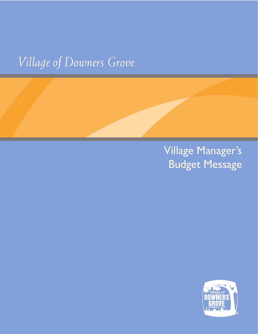# *Village of Downers Grove*

# Village Manager's Budget Message

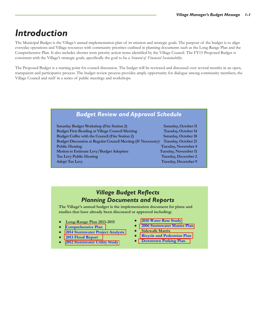### *Introduction*

The Municipal Budget is the Village's annual implementation plan of its mission and strategic goals. The purpose of the budget is to align everyday operations and Village resources with community priorities outlined in planning documents such as the Long-Range Plan and the Comprehensive Plan. It also includes shorter term priority action items identified by the Village Council. The FY15 Proposed Budget is consistent with the Village's strategic goals, specifically the goal to be a *Steward of Financial Sustainability*.

The Proposed Budget is a starting point for council discussion. The budget will be reviewed and discussed over several months in an open, transparent and participative process. The budget review process provides ample opportunity for dialogue among community members, the Village Council and staff in a series of public meetings and workshops.

#### *Budget Review and Approval Schedule*

| <b>Saturday Budget Workshop (Fire Station 2)</b>                   |     |
|--------------------------------------------------------------------|-----|
| <b>Budget First Reading at Village Council Meeting</b>             | Ί   |
| <b>Budget Coffee with the Council (Fire Station 2)</b>             | S.  |
| <b>Budget Discussion at Regular Council Meeting (If Necessary)</b> | T   |
| <b>Public Hearing</b>                                              | Tu  |
| Motion to Estimate Levy/Budget Adoption                            | Tue |
| <b>Tax Levy Public Hearing</b>                                     | Tu  |
| <b>Adopt Tax Levy</b>                                              | Tu  |
|                                                                    |     |

aturday, October 11 **Luesday, October 14 Budget Coffee with the Council (Fire Station 2) Saturday, October 18 Puesday, October 21 Public Readay, November 4 Motion Estimate Extending Container Extending Container Extending Levy Eastay, December 2 Adopted Tax December 9** 

#### *Village Budget Reflects Planning Documents and Reports*

**The Village's annual budget is the implementation document for plans and studies that have already been discussed or approved including:**

- **Long-Range Plan 2013-2015**
- **● [Comprehensive Plan](http://www.downers.us/public/docs/departments/com_dvlpment/CompPlan2011.pdf)**
- **● [2014 Stormwater Project Analysis](http://www.downers.us/top-stories/2014/06/20/stormwater-project-report-available-for-review)**
- **● [2013 Flood Report](http://www.downers.us/public/docs/top_stories/Storm%20Report%208-30.pdf)**
- **● [2012 Stormwater Utility Study](http://www.downers.us/top-stories/2011/08/26/village-considers-stormwater-utility)**
- **● [2010 Water Rate Study](http://www.downers.us/public/docs/agendas/2010/11-09-10/MOT%2000-04308.pdf)**
- **● [2006 Stormwater Master Plan](http://www.downers.us/govt/forms-publications/stormwater-master-plan-2006)**
- **Sidewalk Matrix**
- **● [Bicycle and Pedestrian Plan](http://www.downers.us/public/docs/Parking_%20and_Transportation/Bicycle-and-Pedestrian_Plan_022713_nn.pdf)**
- **● [Downtown Parking Plan](http://www.downers.us/res/parking-and-transportation/2011-downtown-parking-study)**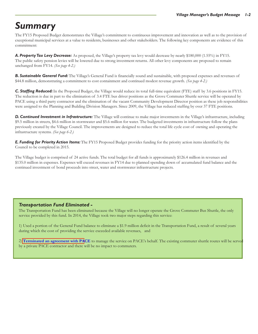### *Summary*

The FY15 Proposed Budget demonstrates the Village's commitment to continuous improvement and innovation as well as to the provision of exceptional municipal services at a value to residents, businesses and other stakeholders. The following key components are evidence of this commitment:

*A. Property Tax Levy Decrease:* As proposed, the Village's property tax levy would decrease by nearly \$180,000 (1.55%) in FY15. The public safety pension levies will be lowered due to strong investment returns. All other levy components are proposed to remain unchanged from FY14. *(See page 4-2.)*

*B. Sustainable General Fund:* The Village's General Fund is financially sound and sustainable, with proposed expenses and revenues of \$44.8 million, demonstrating a commitment to cost containment and continued modest revenue growth. *(See page 4-2.)*

*C. Staffing Reduced:* In the Proposed Budget, the Village would reduce its total full-time equivalent (FTE) staff by 3.6 positions in FY15. The reduction is due in part to the elimination of 3.4 FTE bus driver positions as the Grove Commuter Shuttle service will be operated by PACE using a third party contractor and the elimination of the vacant Community Development Director position as these job responsibilities were assigned to the Planning and Building Division Managers. Since 2009, the Village has reduced staffing by over 37 FTE positions.

*D. Continued Investment in Infrastructure:* The Village will continue to make major investments in the Village's infrastructure, including \$9.5 million in streets, \$4.6 million in stormwater and \$5.6 million for water. The budgeted investments in infrastructure follow the plans previously created by the Village Council. The improvements are designed to reduce the total life cycle cost of owning and operating the infrastructure systems. *(See page 6-2.)*

*E. Funding for Priority Action Items:* The FY15 Proposed Budget provides funding for the priority action items identified by the Council to be completed in 2015.

The Village budget is comprised of 24 active funds. The total budget for all funds is approximately \$126.4 million in revenues and \$135.0 million in expenses. Expenses will exceed revenues in FY14 due to planned spending down of accumulated fund balance and the continued investment of bond proceeds into street, water and stormwater infrastructure projects.

#### *Transportation Fund Eliminated -*

The Transportation Fund has been eliminated because the Village will no longer operate the Grove Commuter Bus Shuttle, the only service provided by this fund. In 2014, the Village took two major steps regarding this service:

1) Used a portion of the General Fund balance to eliminate a \$1.9 million deficit in the Transportation Fund, a result of several years during which the cost of providing the service exceeded available revenues, and

2) **[Terminated an](http://www.downers.us/public/docs/agendas/2014/09-16-14/MOT00-05697-PACE.pdf) agreement with PACE** to manage the service on PACE's behalf. The existing commuter shuttle routes will be served by a private PACE contractor and there will be no impact to commuters.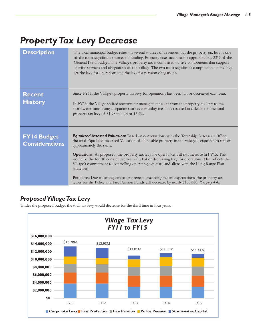## *Property Tax Levy Decrease*

| <b>Description</b>                          | The total municipal budget relies on several sources of revenues, but the property tax levy is one<br>of the most significant sources of funding. Property taxes account for approximately 23% of the<br>General Fund budget. The Village's property tax is comprised of five components that support<br>specific services and obligations of the Village. The two most significant components of the levy<br>are the levy for operations and the levy for pension obligations.                                                                                                                                                                                                                                                                                 |
|---------------------------------------------|-----------------------------------------------------------------------------------------------------------------------------------------------------------------------------------------------------------------------------------------------------------------------------------------------------------------------------------------------------------------------------------------------------------------------------------------------------------------------------------------------------------------------------------------------------------------------------------------------------------------------------------------------------------------------------------------------------------------------------------------------------------------|
| <b>Recent</b><br><b>History</b>             | Since FY11, the Village's property tax levy for operations has been flat or decreased each year.<br>In FY13, the Village shifted stormwater management costs from the property tax levy to the<br>stormwater fund using a separate stormwater utility fee. This resulted in a decline in the total<br>property tax levy of \$1.98 million or 15.2%.                                                                                                                                                                                                                                                                                                                                                                                                             |
| <b>FY14 Budget</b><br><b>Considerations</b> | <b>Equalized Assessed Valuation:</b> Based on conversations with the Township Assessor's Office,<br>the total Equalized Assessed Valuation of all taxable property in the Village is expected to remain<br>approximately the same.<br><b>Operations:</b> As proposed, the property tax levy for operations will not increase in FY15. This<br>would be the fourth consecutive year of a flat or decreasing levy for operations. This reflects the<br>Village's commitment to controlling operating expenses and aligns with the Long Range Plan<br>strategies.<br>Pensions: Due to strong investment returns exceeding return expectations, the property tax<br>levies for the Police and Fire Pension Funds will decrease by nearly \$180,000. (See page 4-4.) |

#### *Proposed Village Tax Levy*

Under the proposed budget the total tax levy would decrease for the third time in four years.

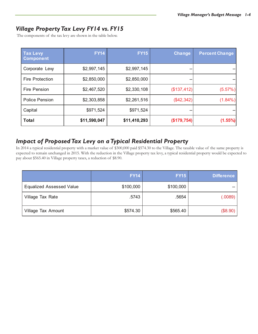#### *Village Property Tax Levy FY14 vs. FY15*

The components of the tax levy are shown in the table below.

| <b>Tax Levy</b><br><b>Component</b> | <b>FY14</b>  | <b>FY15</b>  | <b>Change</b> | <b>Percent Change</b> |
|-------------------------------------|--------------|--------------|---------------|-----------------------|
| Corporate Levy                      | \$2,997,145  | \$2,997,145  |               |                       |
| <b>Fire Protection</b>              | \$2,850,000  | \$2,850,000  |               |                       |
| <b>Fire Pension</b>                 | \$2,467,520  | \$2,330,108  | (\$137,412)   | (5.57%)               |
| <b>Police Pension</b>               | \$2,303,858  | \$2,261,516  | $(\$42,342)$  | $(1.84\%)$            |
| Capital                             | \$971,524    | \$971,524    | --            |                       |
| <b>Total</b>                        | \$11,590,047 | \$11,410,293 | (\$179,754)   | $(1.55\%)$            |

#### *Impact of Proposed Tax Levy on a Typical Residential Property*

In 2014 a typical residential property with a market value of \$300,000 paid \$574.30 to the Village. The taxable value of the same property is expected to remain unchanged in 2015. With the reduction in the Village property tax levy, a typical residential property would be expected to pay about \$565.40 in Village property taxes, a reduction of \$8.90.

|                                 | <b>FY14</b> | <b>FY15</b> | <b>Difference</b> |
|---------------------------------|-------------|-------------|-------------------|
| <b>Equalized Assessed Value</b> | \$100,000   | \$100,000   |                   |
| Village Tax Rate                | .5743       | .5654       | (.0089)           |
| Village Tax Amount              | \$574.30    | \$565.40    | (\$8.90)          |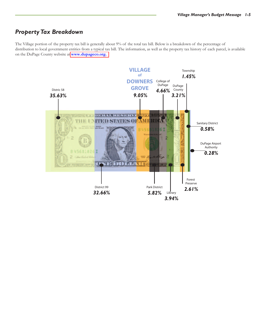#### *Property Tax Breakdown*

The Village portion of the property tax bill is generally about 9% of the total tax bill. Below is a breakdown of the percentage of distribution to local government entities from a typical tax bill. The information, as well as the property tax history of each parcel, is available on the DuPage County website at **[www.dupageco.org.](http://www.dupageco.org/)**

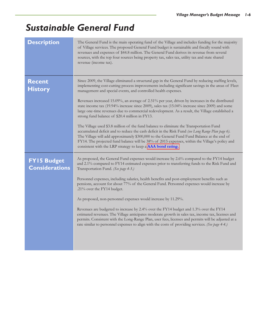### *Sustainable General Fund*

| <b>Description</b>                          | The General Fund is the main operating fund of the Village and includes funding for the majority<br>of Village services. The proposed General Fund budget is sustainable and fiscally sound with<br>revenues and expenses of \$44.8 million. The General Fund derives its revenue from several<br>sources, with the top four sources being property tax, sales tax, utility tax and state shared<br>revenue (income tax).                                    |
|---------------------------------------------|--------------------------------------------------------------------------------------------------------------------------------------------------------------------------------------------------------------------------------------------------------------------------------------------------------------------------------------------------------------------------------------------------------------------------------------------------------------|
| <b>Recent</b><br><b>History</b>             | Since 2009, the Village eliminated a structural gap in the General Fund by reducing staffing levels,<br>implementing cost-cutting process improvements including significant savings in the areas of Fleet<br>management and special events, and controlled health expenses.                                                                                                                                                                                 |
|                                             | Revenues increased 15.09%, an average of 2.51% per year, driven by increases in the distributed<br>state income tax (19.94% increase since 2009), sales tax (15.04% increase since 2009) and some<br>large one-time revenues due to commercial redevelopment. As a result, the Village established a<br>strong fund balance of \$20.4 million in FY13.                                                                                                       |
|                                             | The Village used \$3.8 million of the fund balance to eliminate the Transportation Fund<br>accumulated deficit and to reduce the cash deficit in the Risk Fund (see Long Range Plan page 6).<br>The Village will add approximately \$300,000 to the General Fund Fund Balance at the end of<br>FY14. The projected fund balance will be 38% of 2015 expenses, within the Village's policy and<br>consistent with the LRP strategy to keep a AAA bond rating. |
| <b>FY15 Budget</b><br><b>Considerations</b> | As proposed, the General Fund expenses would increase by 2.6% compared to the FY14 budget<br>and 2.1% compared to FY14 estimated expenses prior to transferring funds to the Risk Fund and<br>Transportation Fund. (See page 4-3.)                                                                                                                                                                                                                           |
|                                             | Personnel expenses, including salaries, health benefits and post-employment benefits such as<br>pensions, account for about 77% of the General Fund. Personnel expenses would increase by<br>.21% over the FY14 budget.                                                                                                                                                                                                                                      |
|                                             | As proposed, non-personnel expenses would increase by 11.29%.                                                                                                                                                                                                                                                                                                                                                                                                |
|                                             | Revenues are budgeted to increase by 2.4% over the FY14 budget and 1.3% over the FY14<br>estimated revenues. The Village anticipates moderate growth in sales tax, income tax, licenses and<br>permits. Consistent with the Long-Range Plan, user fees, licenses and permits will be adjusted at a<br>rate similar to personnel expenses to align with the costs of providing services. (See page $4-4$ .)                                                   |
|                                             |                                                                                                                                                                                                                                                                                                                                                                                                                                                              |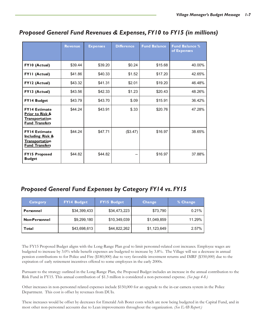|                                                                                                       | <b>Revenue</b> | <b>Expenses</b> | <b>Difference</b> | <b>Fund Balance</b> | <b>Fund Balance %</b><br>of Expenses |
|-------------------------------------------------------------------------------------------------------|----------------|-----------------|-------------------|---------------------|--------------------------------------|
| FY10 (Actual)                                                                                         | \$39.44        | \$39.20         | \$0.24            | \$15.68             | 40.00%                               |
| FYII (Actual)                                                                                         | \$41.86        | \$40.33         | \$1.52            | \$17.20             | 42.65%                               |
| FY12 (Actual)                                                                                         | \$43.32        | \$41.31         | \$2.01            | \$19.20             | 46.48%                               |
| FY13 (Actual)                                                                                         | \$43.56        | \$42.33         | \$1.23            | \$20.43             | 48.26%                               |
| FY14 Budget                                                                                           | \$43.79        | \$43.70         | \$.09             | \$15.91             | 36.42%                               |
| <b>FY14 Estimate</b><br><b>Prior to Risk &amp;</b><br><b>Transportation</b><br><b>Fund Transfers</b>  | \$44.24        | \$43.91         | \$.33             | \$20.76             | 47.28%                               |
| <b>FY14 Estimate</b><br><b>Including Risk &amp;</b><br><b>Transportation</b><br><b>Fund Transfers</b> | \$44.24        | \$47.71         | (\$3.47)          | \$16.97             | 38.65%                               |
| <b>FY15 Proposed</b><br><b>Budget</b>                                                                 | \$44.82        | \$44.82         |                   | \$16.97             | 37.88%                               |

#### *Proposed General Fund Revenues & Expenses, FY10 to FY15 (in millions)*

#### *Proposed General Fund Expenses by Category FY14 vs. FY15*

| Category             | <b>FY14 Budget</b> | <b>FYI5 Budget</b> | <b>Change</b> | % Change |
|----------------------|--------------------|--------------------|---------------|----------|
| Personnel            | \$34,399,433       | \$34,473,223       | \$73,790      | 0.21%    |
| <b>Non-Personnel</b> | \$9,299,180        | \$10,349,039       | \$1,049,859   | 11.29%   |
| Total                | \$43,698,613       | \$44,822,262       | \$1,123,649   | 2.57%    |

The FY15 Proposed Budget aligns with the Long-Range Plan goal to limit personnel-related cost increases. Employee wages are budgeted to increase by 3.0% while benefit expenses are budgeted to increase by 3.8%. The Village will see a decrease in annual pension contributions to for Police and Fire (\$180,000) due to very favorable investment returns and IMRF (\$350,000) due to the expiration of early retirement incentives offered to some employees in the early 2000s.

Pursuant to the strategy outlined in the Long-Range Plan, the Proposed Budget includes an increase in the annual contribution to the Risk Fund in FY15. This annual contribution of \$1.3 million is considered a non-personnel expense. *(See page 4-8.)*

Other increases in non-personnel related expenses include \$150,000 for an upgrade to the in-car camera system in the Police Department. This cost is offset by revenues from DUIs.

These increases would be offset by decreases for Emerald Ash Borer costs which are now being budgeted in the Capital Fund, and in most other non-personnel accounts due to Lean improvements throughout the organization. *(See EAB Report.)*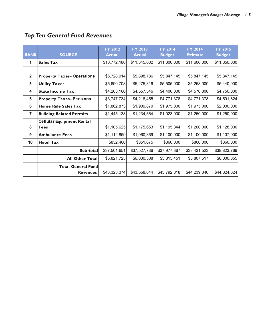| <b>RANK</b>    | <b>SOURCE</b>                                 | <b>FY 2012</b><br><b>Actual</b> | <b>FY 2013</b><br><b>Actual</b> | <b>FY 2014</b><br><b>Budget</b> | <b>FY 2014</b><br><b>Estimate</b> | <b>FY 2015</b><br><b>Budget</b> |
|----------------|-----------------------------------------------|---------------------------------|---------------------------------|---------------------------------|-----------------------------------|---------------------------------|
| 1              | <b>Sales Tax</b>                              | \$10,772,180                    | \$11,345,002                    | \$11,300,000                    | \$11,600,000                      | \$11,850,000                    |
| $\mathbf{2}$   | <b>Property Taxes-Operations</b>              | \$6,728,914                     | \$5,898,786                     | \$5,847,145                     | \$5,847,145                       | \$5,847,145                     |
| $\mathbf{3}$   | <b>Utility Taxes</b>                          | \$5,690,708                     | \$5,275,316                     | \$5,505,000                     | \$5,258,000                       | \$5,440,000                     |
| 4              | <b>State Income Tax</b>                       | \$4,203,160                     | \$4,557,546                     | \$4,400,000                     | \$4,570,000                       | \$4,750,000                     |
| 5              | <b>Property Taxes-Pensions</b>                | \$3,747,734                     | \$4,218,455                     | \$4,771,378                     | \$4,771,378                       | \$4,591,624                     |
| 6              | <b>Home Rule Sales Tax</b>                    | \$1,862,873                     | \$1,909,870                     | \$1,975,000                     | \$1,975,000                       | \$2,000,000                     |
| $\overline{7}$ | <b>Building Related Permits</b>               | \$1,445,138                     | \$1,234,564                     | \$1,023,000                     | \$1,250,000                       | \$1,250,000                     |
| 8              | <b>Cellular Equipment Rental</b><br>Fees      | \$1,105,625                     | \$1,175,653                     | \$1,195,844                     | \$1,200,000                       | \$1,128,000                     |
|                |                                               |                                 |                                 |                                 |                                   |                                 |
| 9              | <b>Ambulance Fees</b>                         | \$1,112,859                     | \$1,060,869                     | \$1,100,000                     | \$1,100,000                       | \$1,107,000                     |
| 10             | <b>Hotel Tax</b>                              | \$832,460                       | \$851,675                       | \$860,000                       | \$860,000                         | \$860,000                       |
|                | Sub-total                                     | \$37,501,651                    | \$37,527,736                    | \$37,977,367                    | \$38,431,523                      | \$38,823,769                    |
|                | <b>All Other Total</b>                        | \$5,821,723                     | \$6,030,308                     | \$5,815,451                     | \$5,807,517                       | \$6,000,855                     |
|                | <b>Total General Fundl</b><br><b>Revenues</b> | \$43,323,374                    | \$43,558,044                    | \$43,792,818                    | \$44,239,040                      | \$44,824,624                    |

### *Top Ten General Fund Revenues*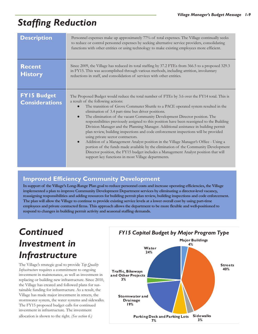# *Staffing Reduction*

| <b>Description</b>                          | Personnel expenses make up approximately 77% of total expenses. The Village continually seeks<br>to reduce or control personnel expenses by seeking alternative service providers, consolidating<br>functions with other entities or using technology to make existing employees more efficient.                                                                                                                                                                                                                                                                                                                                                                                                                                                                                                                                                                                                                                                                                                                                    |
|---------------------------------------------|-------------------------------------------------------------------------------------------------------------------------------------------------------------------------------------------------------------------------------------------------------------------------------------------------------------------------------------------------------------------------------------------------------------------------------------------------------------------------------------------------------------------------------------------------------------------------------------------------------------------------------------------------------------------------------------------------------------------------------------------------------------------------------------------------------------------------------------------------------------------------------------------------------------------------------------------------------------------------------------------------------------------------------------|
| <b>Recent</b><br><b>History</b>             | Since 2009, the Village has reduced its total staffing by 37.2 FTEs from 366.5 to a proposed 329.3<br>in FY15. This was accomplished through various methods, including attrition, involuntary<br>reductions in staff, and consolidation of services with other entities.                                                                                                                                                                                                                                                                                                                                                                                                                                                                                                                                                                                                                                                                                                                                                           |
| <b>FY15 Budget</b><br><b>Considerations</b> | The Proposed Budget would reduce the total number of FTEs by 3.6 over the FY14 total. This is<br>a result of the following actions:<br>The transition of Grove Commuter Shuttle to a PACE operated system resulted in the<br>elimination of 3.4 part-time bus driver positions.<br>The elimination of the vacant Community Development Director position. The<br>$\bullet$<br>responsibilities previously assigned to this position have been reassigned to the Building<br>Division Manager and the Planning Manager. Additional assistance in building permit<br>plan review, building inspections and code enforcement inspections will be provided<br>using private sector contractors.<br>Addition of a Management Analyst position in the Village Manager's Office - Using a<br>$\bullet$<br>portion of the funds made available by the elimination of the Community Development<br>Director position, the FY15 budget includes a Management Analyst position that will<br>support key functions in most Village departments. |

#### **Improved Efficiency Community Development**

**In support of the Village's Long-Range Plan goal to reduce personnel costs and increase operating efficiencies, the Village implemented a plan to improve Community Development Department services by eliminating a director-level vacancy, reassigning responsibilities and adding resources for building permit plan review, building inspections and code enforcement. The plan will allow the Village to continue to provide existing service levels at a lower overall cost by using part-time employees and private contracted firms. This approach allows the department to be more flexible and well-positioned to respond to changes in building permit activity and seasonal staffing demands.** 

## *Continued Investment in Infrastructure*

The Village's strategic goal to provide *Top Quality Infrastructure* requires a commitment to ongoing investment in maintenance, as well as investment in replacing or building new infrastructure. Since 2010, the Village has created and followed plans for sustainable funding for infrastructure. As a result, the Village has made major investment in streets, the stormwater system, the water systems and sidewalks. The FY15 proposed budget calls for continued investment in infrastructure. The investment allocation is shown to the right. *(See section 6.)*

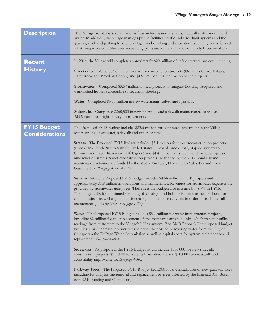| <b>Description</b>                          | The Village maintains several major infrastructure systems: streets, sidewalks, stormwater and<br>water. In addition, the Village manages public facilities, traffic and streetlight systems and the<br>parking deck and parking lots. The Village has both long and short-term spending plans for each<br>of its major systems. Short-term spending plans are in the annual Community Investment Plan.                                                                                                                                                                                                                                                                                                                                                                                                                                                                                                                                                                                                                                                                                                                                                                                                                                                                                                                                                                                                                                                                                                                                                                                                                                                                                                                                                                                                                                                                                                                                                                                                                                                                                                                                                                                                                                      |
|---------------------------------------------|----------------------------------------------------------------------------------------------------------------------------------------------------------------------------------------------------------------------------------------------------------------------------------------------------------------------------------------------------------------------------------------------------------------------------------------------------------------------------------------------------------------------------------------------------------------------------------------------------------------------------------------------------------------------------------------------------------------------------------------------------------------------------------------------------------------------------------------------------------------------------------------------------------------------------------------------------------------------------------------------------------------------------------------------------------------------------------------------------------------------------------------------------------------------------------------------------------------------------------------------------------------------------------------------------------------------------------------------------------------------------------------------------------------------------------------------------------------------------------------------------------------------------------------------------------------------------------------------------------------------------------------------------------------------------------------------------------------------------------------------------------------------------------------------------------------------------------------------------------------------------------------------------------------------------------------------------------------------------------------------------------------------------------------------------------------------------------------------------------------------------------------------------------------------------------------------------------------------------------------------|
| <b>Recent</b><br><b>History</b>             | In 2014, the Village will complete approximately \$20 million of infrastructure projects including:<br>Streets - Completed \$6.96 million in street reconstruction projects (Downers Grove Estates,<br>Esterbrook and Brook & Center) and \$4.91 million in street maintenance projects.<br><b>Stormwater</b> - Completed \$3.57 million in new projects to mitigate flooding. Acquired and<br>demolished houses susceptible to recurring flooding.<br>Water - Completed \$3.75 million in new watermains, valves and hydrants.<br>Sidewalks - Completed \$860,500 in new sidewalks and sidewalk maintenance, as well as<br>ADA-compliant right-of-way improvements.                                                                                                                                                                                                                                                                                                                                                                                                                                                                                                                                                                                                                                                                                                                                                                                                                                                                                                                                                                                                                                                                                                                                                                                                                                                                                                                                                                                                                                                                                                                                                                         |
| <b>FY15 Budget</b><br><b>Considerations</b> | The Proposed FY15 Budget includes \$23.5 million for continued investment in the Village's<br>water, streets, stormwater, sidewalk and other systems.<br><b>Streets</b> - The Proposed FY15 Budget includes \$5.1 million for street reconstruction projects<br>(Brookbank Road-59th to 60th St, Clyde Estates, Orchard Brook East, Maple-Fairview to<br>Cumnor, and Lacey Road-north of Ogden) and \$4.4 million for street maintenance projects on<br>nine miles of streets. Street reconstruction projects are funded by the 2012 bond issuance;<br>maintenance activities are funded by the Motor Fuel Tax, Home Rules Sales Tax and Local<br>Gasoline Tax. (See page 4-28 - 4-30.)<br>Stormwater - The Proposed FY15 Budget includes \$4.56 million in CIP projects and<br>approximately \$1.9 million in operations and maintenance. Revenues for stormwater expenses are<br>provided by stormwater utility fees. These fees are budgeted to increase by 8.7% in FY15.<br>The budget calls for continued spending of existing fund balance in the Stormwater Fund for<br>capital projects as well as gradually increasing maintenance activities in order to reach the full<br>maintenance goals by 2028. (See page 4-20.)<br>Water - The Proposed FY15 Budget includes \$5.6 million for water infrastructure projects,<br>including \$2 million for the replacement of the meter transmission units, which transmit utility<br>readings from customers to the Village's billing system. (See AMR Report.) The proposed budget<br>includes a 14% increase in water rates to cover the cost of purchasing water from the City of<br>Chicago via the DuPage Water Commission as well as capital costs for system maintenance and<br>replacement. (See page 4-24.)<br>Sidewalks - As proposed, the FY15 Budget would include \$500,000 for new sidewalk<br>construction projects, \$211,000 for sidewalk maintenance and \$50,000 for crosswalk and<br>accessibility improvements. (See page 4-30.)<br>Parkway Trees - The Proposed FY15 Budget \$261,300 for the installation of new parkway trees<br>including funding for the removal and replacement of trees affected by the Emerald Ash Borer<br>(see EAB Funding and Operations). |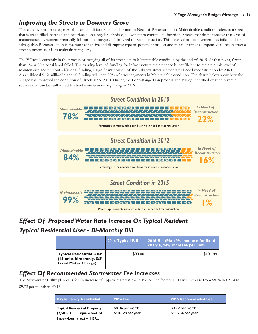#### *Improving the Streets in Downers Grove*

There are two major categories of street condition: Maintainable and In Need of Reconstruction. Maintainable condition refers to a street that is crack-filled, patched and resurfaced on a regular schedule, allowing it to continue to function. Streets that do not receive that level of maintenance investment eventually fall into the category of In Need of Reconstruction. This means that the pavement has failed and is not salvageable. Reconstruction is the most expensive and disruptive type of pavement project and it is four times as expensive to reconstruct a street segment as it is to maintain it regularly.

The Village is currently in the process of bringing all of its streets up to Maintainable condition by the end of 2015. At that point, fewer than 1% will be considered failed. The existing level of funding for infrastructure maintenance is insufficient to maintain this level of maintenance and without additional funding, a significant portion of the Village's street segments will need reconstruction by 2040. An additional \$1.2 million in annual funding will keep 99% of street segments in Maintainable condition. The charts below show how the Village has improved the condition of streets since 2010. During the Long-Range Plan process, the Village identified existing revenue sources that can be reallocated to street maintenance beginning in 2016.



### *Effect Of Proposed Water Rate Increase On Typical Resident Typical Residential User - Bi-Monthly Bill*

|                                                                                            | 2014 Typical Bill | 2015 Bill (Plan 9% increase for fixed<br>charge, 14% increase per unit) |
|--------------------------------------------------------------------------------------------|-------------------|-------------------------------------------------------------------------|
| <b>Typical Residential User</b><br>(15 units bimonthly, 5/8"<br><b>Fixed Meter Charge)</b> | \$90.00           | \$101.99                                                                |

### *Effect Of Recommended Stormwater Fee Increases*

The Stormwater Utility plan calls for an increase of approximately 8.7% in FY15. The fee per ERU will increase from \$8.94 in FY14 to \$9.72 per month in FY15.

| <b>Single Family Residential</b>                                                               | <b>2014 Fee</b>                       | 2015 Recommended Fee                  |
|------------------------------------------------------------------------------------------------|---------------------------------------|---------------------------------------|
| Typical Residential Property<br>$(2,501 - 4,000$ square feet of<br>impervious $area$ ) = 1 ERU | \$8.94 per month<br>\$107.28 per year | \$9.72 per month<br>\$116.64 per year |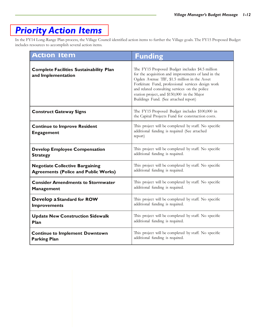### *[Priority Action Items](http://www.downers.us/govt/mayor-council/2014-2015-action-items)*

In the FY14 Long-Range Plan process, the Village Council identified action items to further the Village goals. The FY15 Proposed Budget includes resources to accomplish several action items.

| <b>Action Item</b>                                                   | <b>Funding</b>                                                                                                                                                                                                                                                                                                                                        |
|----------------------------------------------------------------------|-------------------------------------------------------------------------------------------------------------------------------------------------------------------------------------------------------------------------------------------------------------------------------------------------------------------------------------------------------|
| <b>Complete Facilities Sustainability Plan</b><br>and Implementation | The FY15 Proposed Budget includes \$4.5 million<br>for the acquisition and improvements of land in the<br>Ogden Avenue TIF, \$1.5 million in the Asset<br>Forfeiture Fund, professional services design work<br>and related consulting services on the police<br>station project, and \$150,000 in the Major<br>Buildings Fund. (See attached report) |
| <b>Construct Gateway Signs</b>                                       | The FY15 Proposed Budget includes \$100,000 in<br>the Capital Projects Fund for construction costs.                                                                                                                                                                                                                                                   |
| <b>Continue to Improve Resident</b><br><b>Engagement</b>             | This project will be completed by staff. No specific<br>additional funding is required (See attached<br>report)                                                                                                                                                                                                                                       |
| <b>Develop Employee Compensation</b>                                 | This project will be completed by staff. No specific                                                                                                                                                                                                                                                                                                  |
| <b>Strategy</b>                                                      | additional funding is required.                                                                                                                                                                                                                                                                                                                       |
| <b>Negotiate Collective Bargaining</b>                               | This project will be completed by staff. No specific                                                                                                                                                                                                                                                                                                  |
| <b>Agreements (Police and Public Works)</b>                          | additional funding is required.                                                                                                                                                                                                                                                                                                                       |
| <b>Consider Amendments to Stormwater</b>                             | This project will be completed by staff. No specific                                                                                                                                                                                                                                                                                                  |
| Management                                                           | additional funding is required.                                                                                                                                                                                                                                                                                                                       |
| Develop a Standard for ROW                                           | This project will be completed by staff. No specific                                                                                                                                                                                                                                                                                                  |
| <b>Improvements</b>                                                  | additional funding is required.                                                                                                                                                                                                                                                                                                                       |
| <b>Update New Construction Sidewalk</b>                              | This project will be completed by staff. No specific                                                                                                                                                                                                                                                                                                  |
| Plan                                                                 | additional funding is required.                                                                                                                                                                                                                                                                                                                       |
| <b>Continue to Implement Downtown</b>                                | This project will be completed by staff. No specific                                                                                                                                                                                                                                                                                                  |
| <b>Parking Plan</b>                                                  | additional funding is required.                                                                                                                                                                                                                                                                                                                       |